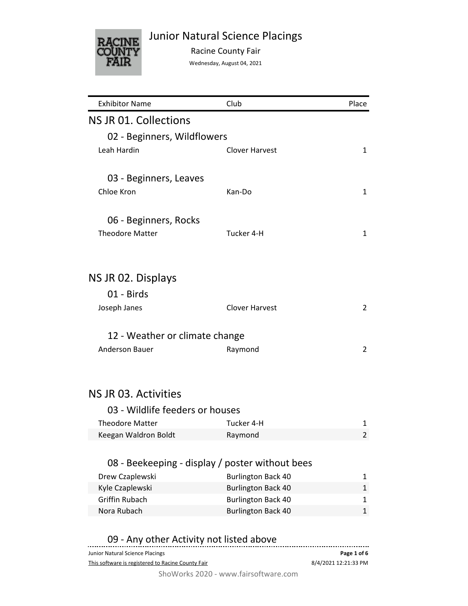

Junior Natural Science Placings

Racine County Fair

Wednesday, August 04, 2021

| <b>Exhibitor Name</b>           | Club                                            | Place        |
|---------------------------------|-------------------------------------------------|--------------|
| NS JR 01. Collections           |                                                 |              |
| 02 - Beginners, Wildflowers     |                                                 |              |
| Leah Hardin                     | <b>Clover Harvest</b>                           | 1            |
|                                 |                                                 |              |
| 03 - Beginners, Leaves          |                                                 |              |
| Chloe Kron                      | Kan-Do                                          | 1            |
| 06 - Beginners, Rocks           |                                                 |              |
| <b>Theodore Matter</b>          | Tucker 4-H                                      | 1            |
|                                 |                                                 |              |
| NS JR 02. Displays              |                                                 |              |
| 01 - Birds                      |                                                 |              |
| Joseph Janes                    | <b>Clover Harvest</b>                           | 2            |
| 12 - Weather or climate change  |                                                 |              |
| <b>Anderson Bauer</b>           | Raymond                                         | 2            |
|                                 |                                                 |              |
| NS JR 03. Activities            |                                                 |              |
| 03 - Wildlife feeders or houses |                                                 |              |
| <b>Theodore Matter</b>          | Tucker 4-H                                      |              |
| Keegan Waldron Boldt            | Raymond                                         | 1<br>2       |
|                                 |                                                 |              |
|                                 | 08 - Beekeeping - display / poster without bees |              |
| Drew Czaplewski                 | <b>Burlington Back 40</b>                       | 1            |
| Kyle Czaplewski                 | <b>Burlington Back 40</b>                       | $\mathbf{1}$ |
| <b>Griffin Rubach</b>           | <b>Burlington Back 40</b>                       | 1            |
| Nora Rubach                     | <b>Burlington Back 40</b>                       | $\mathbf{1}$ |
|                                 |                                                 |              |

| 09 - Any other Activity not listed above |  |  |
|------------------------------------------|--|--|
|------------------------------------------|--|--|

| Junior Natural Science Placings                   | Page 1 of 6          |  |
|---------------------------------------------------|----------------------|--|
| This software is registered to Racine County Fair | 8/4/2021 12:21:33 PM |  |
|                                                   |                      |  |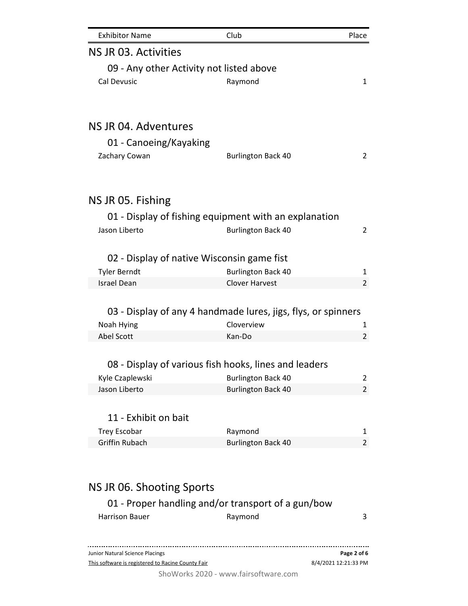| <b>Exhibitor Name</b>                                                                | Club                      | Place                               |
|--------------------------------------------------------------------------------------|---------------------------|-------------------------------------|
| NS JR 03. Activities                                                                 |                           |                                     |
| 09 - Any other Activity not listed above                                             |                           |                                     |
| Cal Devusic                                                                          | Raymond                   | $\mathbf{1}$                        |
|                                                                                      |                           |                                     |
|                                                                                      |                           |                                     |
| NS JR 04. Adventures                                                                 |                           |                                     |
| 01 - Canoeing/Kayaking                                                               |                           |                                     |
| Zachary Cowan                                                                        | <b>Burlington Back 40</b> | $\overline{2}$                      |
| NS JR 05. Fishing                                                                    |                           |                                     |
|                                                                                      |                           |                                     |
| 01 - Display of fishing equipment with an explanation<br>Jason Liberto               |                           |                                     |
|                                                                                      | <b>Burlington Back 40</b> | $\overline{2}$                      |
| 02 - Display of native Wisconsin game fist                                           |                           |                                     |
| <b>Tyler Berndt</b>                                                                  | <b>Burlington Back 40</b> | 1                                   |
| <b>Israel Dean</b>                                                                   | <b>Clover Harvest</b>     | 2                                   |
| 03 - Display of any 4 handmade lures, jigs, flys, or spinners                        |                           |                                     |
| Noah Hying                                                                           | Cloverview                | 1                                   |
| Abel Scott                                                                           | Kan-Do                    | $\overline{2}$                      |
|                                                                                      |                           |                                     |
| 08 - Display of various fish hooks, lines and leaders                                |                           |                                     |
| Kyle Czaplewski                                                                      | <b>Burlington Back 40</b> | 2                                   |
| Jason Liberto                                                                        | <b>Burlington Back 40</b> | 2                                   |
|                                                                                      |                           |                                     |
| 11 - Exhibit on bait                                                                 |                           |                                     |
| <b>Trey Escobar</b>                                                                  | Raymond                   | 1                                   |
| <b>Griffin Rubach</b>                                                                | <b>Burlington Back 40</b> | 2                                   |
|                                                                                      |                           |                                     |
| NS JR 06. Shooting Sports                                                            |                           |                                     |
| 01 - Proper handling and/or transport of a gun/bow                                   |                           |                                     |
| <b>Harrison Bauer</b>                                                                | Raymond                   | 3                                   |
|                                                                                      |                           |                                     |
| Junior Natural Science Placings<br>This software is registered to Racine County Fair |                           | Page 2 of 6<br>8/4/2021 12:21:33 PM |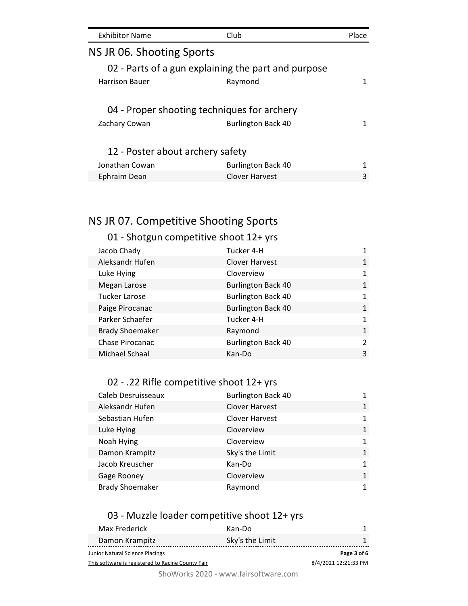| <b>Exhibitor Name</b>            | Club                                                                     | <b>Place</b> |
|----------------------------------|--------------------------------------------------------------------------|--------------|
| NS JR 06. Shooting Sports        |                                                                          |              |
|                                  | 02 - Parts of a gun explaining the part and purpose                      |              |
| <b>Harrison Bauer</b>            | Raymond                                                                  | 1            |
| Zachary Cowan                    | 04 - Proper shooting techniques for archery<br><b>Burlington Back 40</b> | 1            |
| 12 - Poster about archery safety |                                                                          |              |
| Jonathan Cowan                   | <b>Burlington Back 40</b>                                                |              |
| Ephraim Dean                     | <b>Clover Harvest</b>                                                    | 3            |

# NS JR 07. Competitive Shooting Sports

## 01 - Shotgun competitive shoot 12+ yrs

| Jacob Chady            | Tucker 4-H                |               |
|------------------------|---------------------------|---------------|
| Aleksandr Hufen        | <b>Clover Harvest</b>     | $\mathbf{1}$  |
| Luke Hying             | Cloverview                | 1             |
| Megan Larose           | <b>Burlington Back 40</b> | $\mathbf{1}$  |
| <b>Tucker Larose</b>   | <b>Burlington Back 40</b> | 1             |
| Paige Pirocanac        | <b>Burlington Back 40</b> | $\mathbf{1}$  |
| Parker Schaefer        | Tucker 4-H                | $\mathbf{1}$  |
| <b>Brady Shoemaker</b> | Raymond                   | $\mathbf{1}$  |
| Chase Pirocanac        | <b>Burlington Back 40</b> | $\mathcal{P}$ |
| Michael Schaal         | Kan-Do                    | 3             |
|                        |                           |               |

## 02 - .22 Rifle competitive shoot 12+ yrs

| Caleb Desruisseaux     | <b>Burlington Back 40</b> |              |
|------------------------|---------------------------|--------------|
| Aleksandr Hufen        | <b>Clover Harvest</b>     | 1            |
| Sebastian Hufen        | Clover Harvest            |              |
| Luke Hying             | Cloverview                | $\mathbf{1}$ |
| Noah Hying             | Cloverview                | 1            |
| Damon Krampitz         | Sky's the Limit           | $\mathbf{1}$ |
| Jacob Kreuscher        | Kan-Do                    | 1            |
| Gage Rooney            | Cloverview                | $\mathbf{1}$ |
| <b>Brady Shoemaker</b> | Raymond                   |              |

## 03 - Muzzle loader competitive shoot 12+ yrs

| Max Frederick                                     | Kan-Do          |                      |
|---------------------------------------------------|-----------------|----------------------|
| Damon Krampitz                                    | Sky's the Limit |                      |
| Junior Natural Science Placings                   |                 | Page 3 of 6          |
| This software is registered to Racine County Fair |                 | 8/4/2021 12:21:33 PM |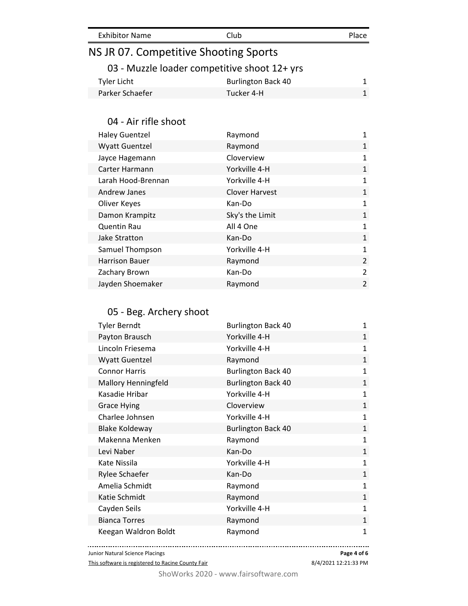| <b>Exhibitor Name</b>                 | Club                                         | Place          |
|---------------------------------------|----------------------------------------------|----------------|
| NS JR 07. Competitive Shooting Sports |                                              |                |
|                                       | 03 - Muzzle loader competitive shoot 12+ yrs |                |
| <b>Tyler Licht</b>                    | <b>Burlington Back 40</b>                    | $\mathbf{1}$   |
| Parker Schaefer                       | Tucker 4-H                                   | $\mathbf{1}$   |
|                                       |                                              |                |
| 04 - Air rifle shoot                  |                                              |                |
| <b>Haley Guentzel</b>                 | Raymond                                      | 1              |
| <b>Wyatt Guentzel</b>                 | Raymond                                      | $\mathbf{1}$   |
| Jayce Hagemann                        | Cloverview                                   | 1              |
| Carter Harmann                        | Yorkville 4-H                                | $\mathbf{1}$   |
| Larah Hood-Brennan                    | Yorkville 4-H                                | $\mathbf{1}$   |
| Andrew Janes                          | <b>Clover Harvest</b>                        | $\mathbf{1}$   |
| Oliver Keyes                          | Kan-Do                                       | $\mathbf{1}$   |
| Damon Krampitz                        | Sky's the Limit                              | $\mathbf{1}$   |
| <b>Quentin Rau</b>                    | All 4 One                                    | $\mathbf{1}$   |
| Jake Stratton                         | Kan-Do                                       | $\mathbf{1}$   |
| Samuel Thompson                       | Yorkville 4-H                                | 1              |
| <b>Harrison Bauer</b>                 | Raymond                                      | $\overline{2}$ |
| Zachary Brown                         | Kan-Do                                       | $\overline{2}$ |
| Jayden Shoemaker                      | Raymond                                      | $\overline{2}$ |
|                                       |                                              |                |
| 05 - Beg. Archery shoot               |                                              |                |
| <b>Tyler Berndt</b>                   | <b>Burlington Back 40</b>                    | 1              |
| Payton Brausch                        | Yorkville 4-H                                | 1              |
| Lincoln Friesema                      | Yorkville 4-H                                | 1              |
| <b>Wyatt Guentzel</b>                 | Raymond                                      | $\mathbf{1}$   |
| <b>Connor Harris</b>                  | <b>Burlington Back 40</b>                    | $\mathbf{1}$   |
| <b>Mallory Henningfeld</b>            | <b>Burlington Back 40</b>                    | $\mathbf{1}$   |
| Kasadie Hribar                        | Yorkville 4-H                                | $\mathbf{1}$   |

|  | ShoWorks 2020 - www.fairsoftware.com |
|--|--------------------------------------|
|  |                                      |

This software is registered to Racine County Fair

Junior Natural Science Placings

-------------------------------------

Grace Hying **Cloverview** Cloverview 1 Charlee Johnsen Norkville 4-H 1 Blake Koldeway **Burlington Back 40** 1 Makenna Menken and Raymond and Raymond 1 Levi Naber Kan-Do 1 Kate Nissila 1 1 and 1 1 and 1 1 and 1 1 and 1 1 and 1 1 and 1 1 and 1 1 and 1 1 and 1 1 and 1 1 and 1 and 1 and 1 and 1 and 1 and 1 and 1 and 1 and 1 and 1 and 1 and 1 and 1 and 1 and 1 and 1 and 1 and 1 and 1 and 1 and 1 Rylee Schaefer **Kan-Do** 1 Amelia Schmidt **Amelia** Schmidt **Raymond** 1 Katie Schmidt 1 and 1 and 1 and 1 and 1 and 1 and 1 and 1 and 1 and 1 and 1 and 1 and 1 and 1 and 1 and 1 and 1 Cayden Seils **No. 1 Seils 1 Accord 1 Accord 1 Accord 1** 2 Accord 1 2 Accord 1 2 Accord 1 2 Accord 1 2 Accord 1 2 Accord 1 2 Accord 1 2 Accord 1 2 Accord 1 2 Accord 1 2 Accord 1 2 Accord 1 2 Accord 1 2 Accord 1 2 Accord 1 2 Bianca Torres **Raymond 1 Raymond** Keegan Waldron Boldt **Raymond 1 Raymond 1** 

> . . . . . . . . . . . **Page 4 of 6**

<sup>8/4/2021 12:21:33</sup> PM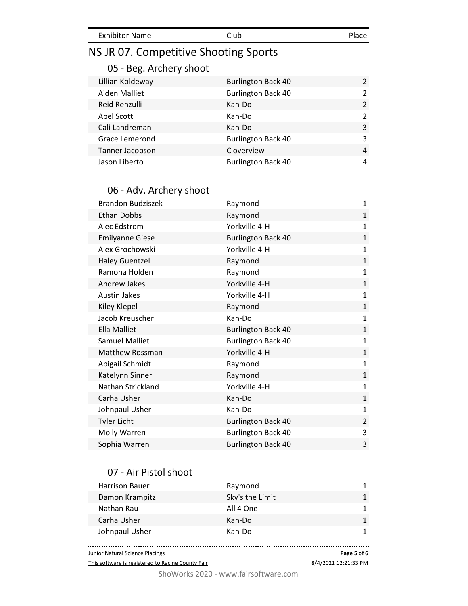# NS JR 07. Competitive Shooting Sports

## 05 - Beg. Archery shoot

| Lillian Koldeway | <b>Burlington Back 40</b> | $\mathcal{P}$ |
|------------------|---------------------------|---------------|
| Aiden Malliet    | <b>Burlington Back 40</b> | $\mathcal{P}$ |
| Reid Renzulli    | Kan-Do                    | 2             |
| Abel Scott       | Kan-Do                    | $\mathcal{P}$ |
| Cali Landreman   | Kan-Do                    | 3             |
| Grace Lemerond   | <b>Burlington Back 40</b> | 3             |
| Tanner Jacobson  | Cloverview                | 4             |
| Jason Liberto    | <b>Burlington Back 40</b> | 4             |

#### 06 - Adv. Archery shoot

| <b>Brandon Budziszek</b> | Raymond                   | $\mathbf{1}$   |
|--------------------------|---------------------------|----------------|
| Ethan Dobbs              | Raymond                   | $\mathbf{1}$   |
| Alec Edstrom             | Yorkville 4-H             | $\mathbf{1}$   |
| <b>Emilyanne Giese</b>   | <b>Burlington Back 40</b> | $\mathbf 1$    |
| Alex Grochowski          | Yorkville 4-H             | $\mathbf{1}$   |
| <b>Haley Guentzel</b>    | Raymond                   | $\mathbf{1}$   |
| Ramona Holden            | Raymond                   | $\mathbf{1}$   |
| Andrew Jakes             | Yorkville 4-H             | $\mathbf{1}$   |
| <b>Austin Jakes</b>      | Yorkville 4-H             | $\mathbf{1}$   |
| Kiley Klepel             | Raymond                   | $\mathbf{1}$   |
| Jacob Kreuscher          | Kan-Do                    | $\mathbf{1}$   |
| <b>Ella Malliet</b>      | <b>Burlington Back 40</b> | $\mathbf{1}$   |
| <b>Samuel Malliet</b>    | <b>Burlington Back 40</b> | $\mathbf{1}$   |
| <b>Matthew Rossman</b>   | Yorkville 4-H             | $\mathbf{1}$   |
| Abigail Schmidt          | Raymond                   | $\mathbf{1}$   |
| Katelynn Sinner          | Raymond                   | $\mathbf{1}$   |
| Nathan Strickland        | Yorkville 4-H             | $\mathbf{1}$   |
| Carha Usher              | Kan-Do                    | $\mathbf{1}$   |
| Johnpaul Usher           | Kan-Do                    | $\mathbf{1}$   |
| <b>Tyler Licht</b>       | <b>Burlington Back 40</b> | $\overline{2}$ |
| Molly Warren             | <b>Burlington Back 40</b> | 3              |
| Sophia Warren            | <b>Burlington Back 40</b> | 3              |

#### 07 - Air Pistol shoot

| <b>Harrison Bauer</b> | Raymond         | 1            |
|-----------------------|-----------------|--------------|
| Damon Krampitz        | Sky's the Limit | $\mathbf{1}$ |
| Nathan Rau            | All 4 One       | 1            |
| Carha Usher           | Kan-Do          | 1            |
| Johnpaul Usher        | Kan-Do          | 1            |
|                       |                 |              |

. . . . . . . . . . . . . . . Junior Natural Science Placings **Page 5 of 6**

This software is registered to Racine County Fair

8/4/2021 12:21:33 PM